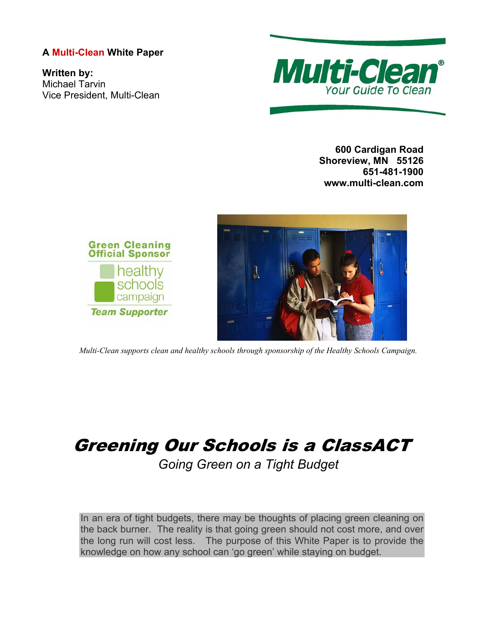# **A Multi-Clean White Paper**

**Written by:**  Michael Tarvin Vice President, Multi-Clean



**600 Cardigan Road Shoreview, MN 55126 651-481-1900 www.multi-clean.com** 



*Multi-Clean supports clean and healthy schools through sponsorship of the Healthy Schools Campaign.* 

# Greening Our Schools is a ClassACT

*Going Green on a Tight Budget* 

In an era of tight budgets, there may be thoughts of placing green cleaning on the back burner. The reality is that going green should not cost more, and over the long run will cost less. The purpose of this White Paper is to provide the knowledge on how any school can 'go green' while staying on budget.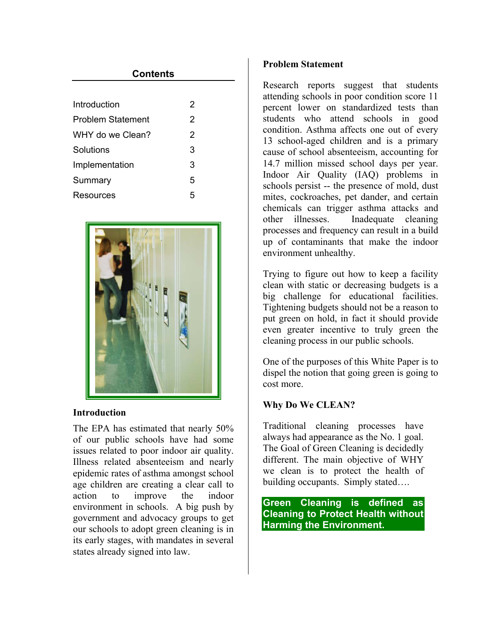| Contents                 |   |
|--------------------------|---|
|                          |   |
| Introduction             | 2 |
| <b>Problem Statement</b> | 2 |
| WHY do we Clean?         | 2 |
| Solutions                | 3 |
| Implementation           | 3 |
| Summary                  | 5 |
| Resources                | 5 |



## **Introduction**

The EPA has estimated that nearly 50% of our public schools have had some issues related to poor indoor air quality. Illness related absenteeism and nearly epidemic rates of asthma amongst school age children are creating a clear call to action to improve the indoor environment in schools. A big push by government and advocacy groups to get our schools to adopt green cleaning is in its early stages, with mandates in several states already signed into law.

## **Problem Statement**

Research reports suggest that students attending schools in poor condition score 11 percent lower on standardized tests than students who attend schools in good condition. Asthma affects one out of every 13 school-aged children and is a primary cause of school absenteeism, accounting for 14.7 million missed school days per year. Indoor Air Quality (IAQ) problems in schools persist -- the presence of mold, dust mites, cockroaches, pet dander, and certain chemicals can trigger asthma attacks and other illnesses. Inadequate cleaning processes and frequency can result in a build up of contaminants that make the indoor environment unhealthy.

Trying to figure out how to keep a facility clean with static or decreasing budgets is a big challenge for educational facilities. Tightening budgets should not be a reason to put green on hold, in fact it should provide even greater incentive to truly green the cleaning process in our public schools.

One of the purposes of this White Paper is to dispel the notion that going green is going to cost more.

# **Why Do We CLEAN?**

Traditional cleaning processes have always had appearance as the No. 1 goal. The Goal of Green Cleaning is decidedly different. The main objective of WHY we clean is to protect the health of building occupants. Simply stated….

**Green Cleaning is defined as Cleaning to Protect Health without Harming the Environment.**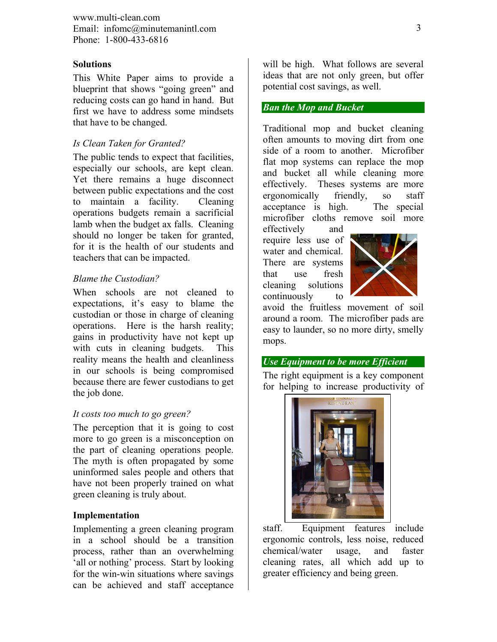www.multi-clean.com Email: infomc@minutemanintl.com Phone: 1-800-433-6816

### **Solutions**

This White Paper aims to provide a blueprint that shows "going green" and reducing costs can go hand in hand. But first we have to address some mindsets that have to be changed.

#### *Is Clean Taken for Granted?*

The public tends to expect that facilities, especially our schools, are kept clean. Yet there remains a huge disconnect between public expectations and the cost to maintain a facility. Cleaning operations budgets remain a sacrificial lamb when the budget ax falls. Cleaning should no longer be taken for granted, for it is the health of our students and teachers that can be impacted.

#### *Blame the Custodian?*

When schools are not cleaned to expectations, it's easy to blame the custodian or those in charge of cleaning operations. Here is the harsh reality; gains in productivity have not kept up with cuts in cleaning budgets. This reality means the health and cleanliness in our schools is being compromised because there are fewer custodians to get the job done.

#### *It costs too much to go green?*

The perception that it is going to cost more to go green is a misconception on the part of cleaning operations people. The myth is often propagated by some uninformed sales people and others that have not been properly trained on what green cleaning is truly about.

#### **Implementation**

Implementing a green cleaning program in a school should be a transition process, rather than an overwhelming 'all or nothing' process. Start by looking for the win-win situations where savings can be achieved and staff acceptance

will be high. What follows are several ideas that are not only green, but offer potential cost savings, as well.

## *Ban the Mop and Bucket*

Traditional mop and bucket cleaning often amounts to moving dirt from one side of a room to another. Microfiber flat mop systems can replace the mop and bucket all while cleaning more effectively. Theses systems are more ergonomically friendly, so staff acceptance is high. The special microfiber cloths remove soil more

effectively and require less use of water and chemical. There are systems that use fresh cleaning solutions continuously to



avoid the fruitless movement of soil around a room. The microfiber pads are easy to launder, so no more dirty, smelly mops.

## *Use Equipment to be more Efficient*

The right equipment is a key component for helping to increase productivity of



staff. Equipment features include ergonomic controls, less noise, reduced chemical/water usage, and faster cleaning rates, all which add up to greater efficiency and being green.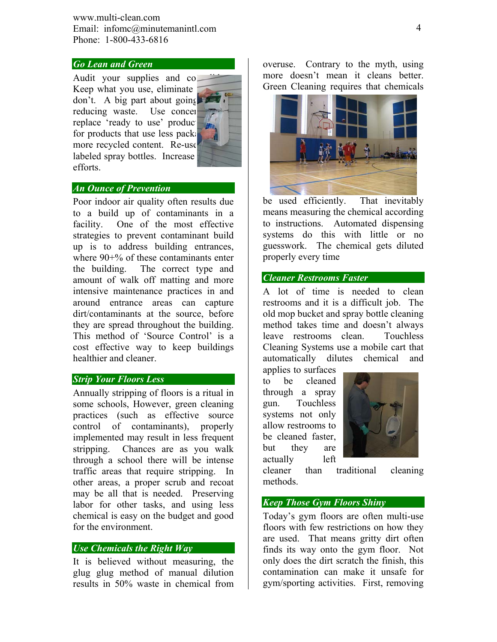www.multi-clean.com Email: infomc@minutemanintl.com Phone: 1-800-433-6816

## *Go Lean and Green*

Audit your supplies and co. Keep what you use, eliminate don't. A big part about going  $\blacktriangleright$ reducing waste. Use concent replace 'ready to use' product for products that use less packaging more recycled content. Re-use labeled spray bottles. Increase efforts.

## *An Ounce of Prevention*

Poor indoor air quality often results due to a build up of contaminants in a facility. One of the most effective strategies to prevent contaminant build up is to address building entrances, where 90+% of these contaminants enter the building. The correct type and amount of walk off matting and more intensive maintenance practices in and around entrance areas can capture dirt/contaminants at the source, before they are spread throughout the building. This method of 'Source Control' is a cost effective way to keep buildings healthier and cleaner.

## *Strip Your Floors Less*

Annually stripping of floors is a ritual in some schools, However, green cleaning practices (such as effective source control of contaminants), properly implemented may result in less frequent stripping. Chances are as you walk through a school there will be intense traffic areas that require stripping. In other areas, a proper scrub and recoat may be all that is needed. Preserving labor for other tasks, and using less chemical is easy on the budget and good for the environment.

## *Use Chemicals the Right Way*

It is believed without measuring, the glug glug method of manual dilution results in 50% waste in chemical from

overuse. Contrary to the myth, using more doesn't mean it cleans better. Green Cleaning requires that chemicals



be used efficiently. That inevitably means measuring the chemical according to instructions. Automated dispensing systems do this with little or no guesswork. The chemical gets diluted properly every time

## *Cleaner Restrooms Faster*

A lot of time is needed to clean restrooms and it is a difficult job. The old mop bucket and spray bottle cleaning method takes time and doesn't always leave restrooms clean. Touchless Cleaning Systems use a mobile cart that automatically dilutes chemical and

applies to surfaces to be cleaned through a spray gun. Touchless systems not only allow restrooms to be cleaned faster, but they are actually left



cleaner than traditional cleaning methods.

#### *Keep Those Gym Floors Shiny*

Today's gym floors are often multi-use floors with few restrictions on how they are used. That means gritty dirt often finds its way onto the gym floor. Not only does the dirt scratch the finish, this contamination can make it unsafe for gym/sporting activities. First, removing